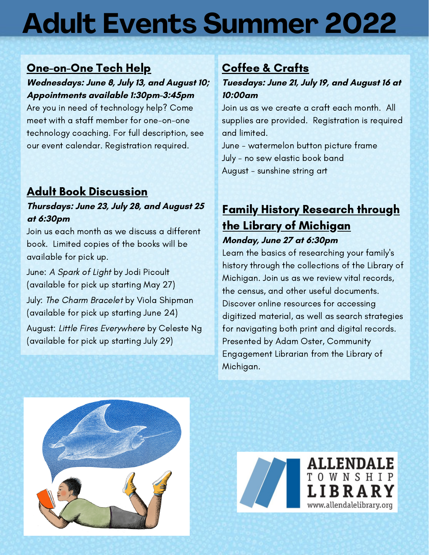# **Adult Events Summer 2022**

## One-on-One Tech Help

#### **Wednesdays: June 8, July 13, and August 10; Appointments available 1:30pm-3:45pm**

Are you in need of technology help? Come meet with a staff member for one-on-one technology coaching. For full description, see our event calendar. Registration required.

### Adult Book Discussion

#### **Thursdays: June 23, July 28, and August 25 at 6:30pm**

Join us each month as we discuss a different book. Limited copies of the books will be available for pick up.

June: A Spark of Light by Jodi Picoult (available for pick up starting May 27)

July: The Charm Bracelet by Viola Shipman (available for pick up starting June 24)

August: Little Fires Everywhere by Celeste Ng (available for pick up starting July 29)

## Coffee & Crafts

#### **Tuesdays: June 21, July 19, and August 16 at 10:00am**

Join us as we create a craft each month. All supplies are provided. Registration is required and limited.

June - watermelon button picture frame July - no sew elastic book band August - sunshine string art

## Family History Research through the Library of Michigan **Monday, June 27 at 6:30pm**

Learn the basics of researching your family's history through the collections of the Library of Michigan. Join us as we review vital records, the census, and other useful documents. Discover online resources for accessing digitized material, as well as search strategies for navigating both print and digital records. Presented by Adam Oster, Community Engagement Librarian from the Library of Michigan.